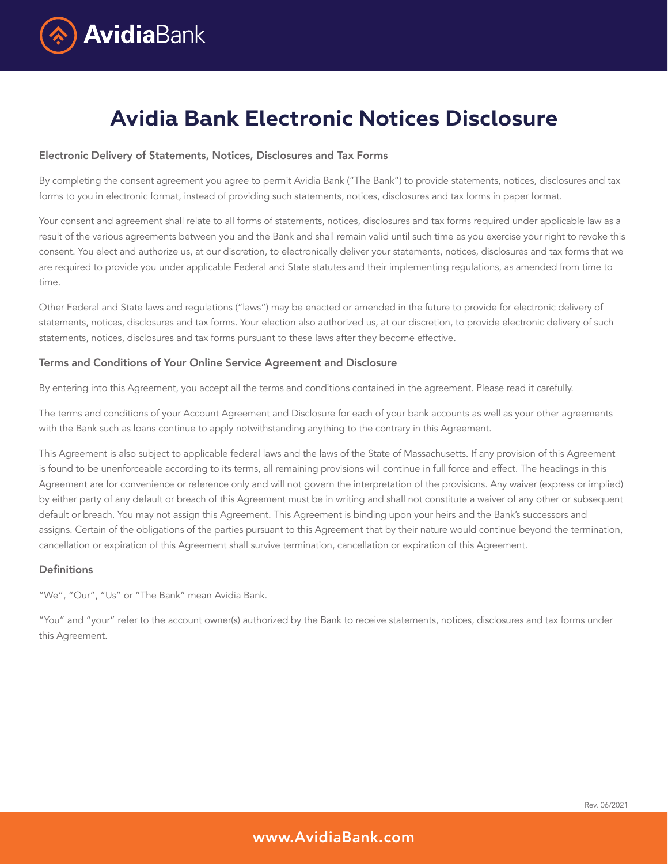

# **Avidia Bank Electronic Notices Disclosure**

#### Electronic Delivery of Statements, Notices, Disclosures and Tax Forms

By completing the consent agreement you agree to permit Avidia Bank ("The Bank") to provide statements, notices, disclosures and tax forms to you in electronic format, instead of providing such statements, notices, disclosures and tax forms in paper format.

Your consent and agreement shall relate to all forms of statements, notices, disclosures and tax forms required under applicable law as a result of the various agreements between you and the Bank and shall remain valid until such time as you exercise your right to revoke this consent. You elect and authorize us, at our discretion, to electronically deliver your statements, notices, disclosures and tax forms that we are required to provide you under applicable Federal and State statutes and their implementing regulations, as amended from time to time.

Other Federal and State laws and regulations ("laws") may be enacted or amended in the future to provide for electronic delivery of statements, notices, disclosures and tax forms. Your election also authorized us, at our discretion, to provide electronic delivery of such statements, notices, disclosures and tax forms pursuant to these laws after they become effective.

# Terms and Conditions of Your Online Service Agreement and Disclosure

By entering into this Agreement, you accept all the terms and conditions contained in the agreement. Please read it carefully.

The terms and conditions of your Account Agreement and Disclosure for each of your bank accounts as well as your other agreements with the Bank such as loans continue to apply notwithstanding anything to the contrary in this Agreement.

This Agreement is also subject to applicable federal laws and the laws of the State of Massachusetts. If any provision of this Agreement is found to be unenforceable according to its terms, all remaining provisions will continue in full force and effect. The headings in this Agreement are for convenience or reference only and will not govern the interpretation of the provisions. Any waiver (express or implied) by either party of any default or breach of this Agreement must be in writing and shall not constitute a waiver of any other or subsequent default or breach. You may not assign this Agreement. This Agreement is binding upon your heirs and the Bank's successors and assigns. Certain of the obligations of the parties pursuant to this Agreement that by their nature would continue beyond the termination, cancellation or expiration of this Agreement shall survive termination, cancellation or expiration of this Agreement.

## **Definitions**

"We", "Our", "Us" or "The Bank" mean Avidia Bank.

"You" and "your" refer to the account owner(s) authorized by the Bank to receive statements, notices, disclosures and tax forms under this Agreement.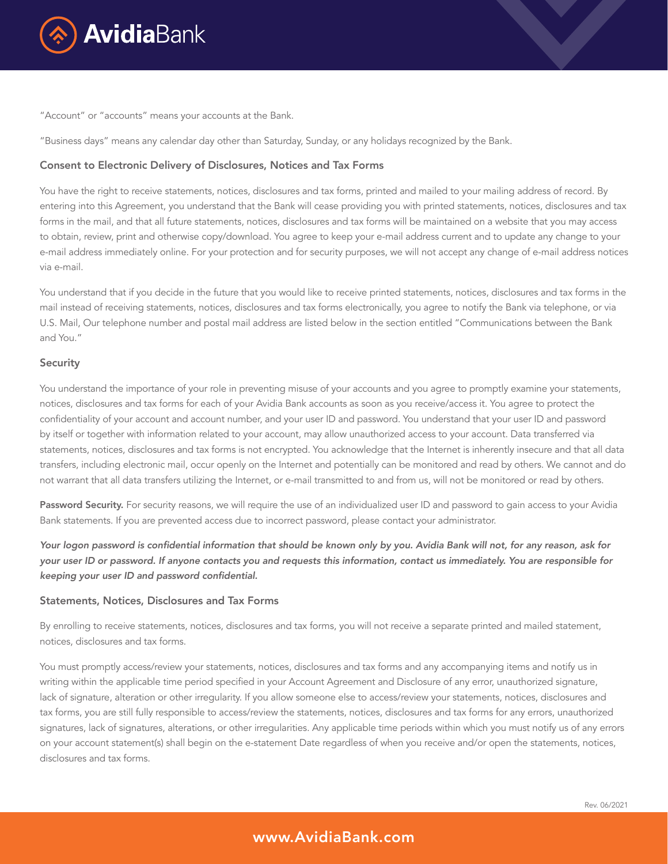

"Account" or "accounts" means your accounts at the Bank.

"Business days" means any calendar day other than Saturday, Sunday, or any holidays recognized by the Bank.

# Consent to Electronic Delivery of Disclosures, Notices and Tax Forms

You have the right to receive statements, notices, disclosures and tax forms, printed and mailed to your mailing address of record. By entering into this Agreement, you understand that the Bank will cease providing you with printed statements, notices, disclosures and tax forms in the mail, and that all future statements, notices, disclosures and tax forms will be maintained on a website that you may access to obtain, review, print and otherwise copy/download. You agree to keep your e-mail address current and to update any change to your e-mail address immediately online. For your protection and for security purposes, we will not accept any change of e-mail address notices via e-mail.

You understand that if you decide in the future that you would like to receive printed statements, notices, disclosures and tax forms in the mail instead of receiving statements, notices, disclosures and tax forms electronically, you agree to notify the Bank via telephone, or via U.S. Mail, Our telephone number and postal mail address are listed below in the section entitled "Communications between the Bank and You."

#### **Security**

You understand the importance of your role in preventing misuse of your accounts and you agree to promptly examine your statements, notices, disclosures and tax forms for each of your Avidia Bank accounts as soon as you receive/access it. You agree to protect the confidentiality of your account and account number, and your user ID and password. You understand that your user ID and password by itself or together with information related to your account, may allow unauthorized access to your account. Data transferred via statements, notices, disclosures and tax forms is not encrypted. You acknowledge that the Internet is inherently insecure and that all data transfers, including electronic mail, occur openly on the Internet and potentially can be monitored and read by others. We cannot and do not warrant that all data transfers utilizing the Internet, or e-mail transmitted to and from us, will not be monitored or read by others.

Password Security. For security reasons, we will require the use of an individualized user ID and password to gain access to your Avidia Bank statements. If you are prevented access due to incorrect password, please contact your administrator.

Your logon password is confidential information that should be known only by you. Avidia Bank will not, for any reason, ask for your user ID or password. If anyone contacts you and requests this information, contact us immediately. You are responsible for keeping your user ID and password confidential.

#### Statements, Notices, Disclosures and Tax Forms

By enrolling to receive statements, notices, disclosures and tax forms, you will not receive a separate printed and mailed statement, notices, disclosures and tax forms.

You must promptly access/review your statements, notices, disclosures and tax forms and any accompanying items and notify us in writing within the applicable time period specified in your Account Agreement and Disclosure of any error, unauthorized signature, lack of signature, alteration or other irregularity. If you allow someone else to access/review your statements, notices, disclosures and tax forms, you are still fully responsible to access/review the statements, notices, disclosures and tax forms for any errors, unauthorized signatures, lack of signatures, alterations, or other irregularities. Any applicable time periods within which you must notify us of any errors on your account statement(s) shall begin on the e-statement Date regardless of when you receive and/or open the statements, notices, disclosures and tax forms.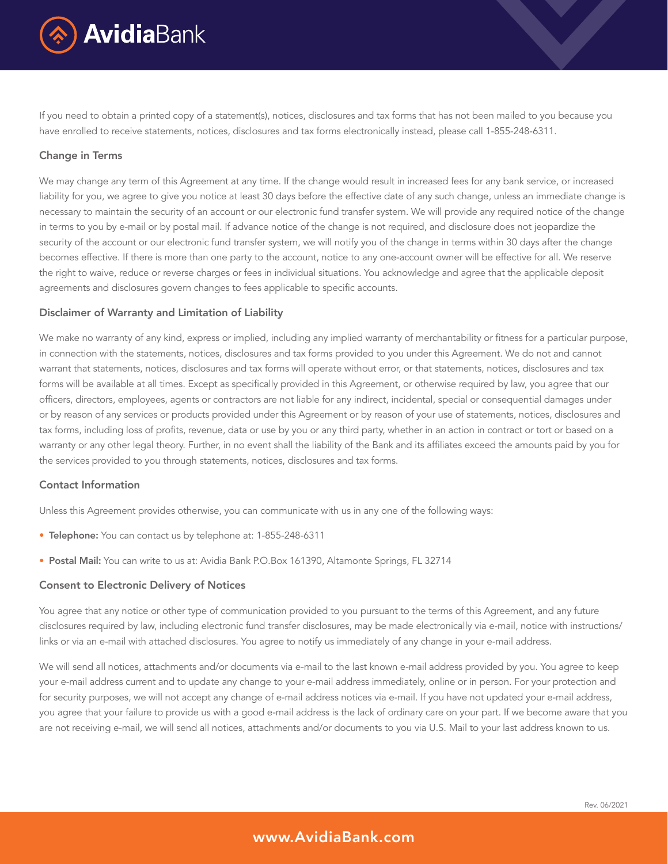

If you need to obtain a printed copy of a statement(s), notices, disclosures and tax forms that has not been mailed to you because you have enrolled to receive statements, notices, disclosures and tax forms electronically instead, please call 1-855-248-6311.

# Change in Terms

We may change any term of this Agreement at any time. If the change would result in increased fees for any bank service, or increased liability for you, we agree to give you notice at least 30 days before the effective date of any such change, unless an immediate change is necessary to maintain the security of an account or our electronic fund transfer system. We will provide any required notice of the change in terms to you by e-mail or by postal mail. If advance notice of the change is not required, and disclosure does not jeopardize the security of the account or our electronic fund transfer system, we will notify you of the change in terms within 30 days after the change becomes effective. If there is more than one party to the account, notice to any one-account owner will be effective for all. We reserve the right to waive, reduce or reverse charges or fees in individual situations. You acknowledge and agree that the applicable deposit agreements and disclosures govern changes to fees applicable to specific accounts.

# Disclaimer of Warranty and Limitation of Liability

We make no warranty of any kind, express or implied, including any implied warranty of merchantability or fitness for a particular purpose, in connection with the statements, notices, disclosures and tax forms provided to you under this Agreement. We do not and cannot warrant that statements, notices, disclosures and tax forms will operate without error, or that statements, notices, disclosures and tax forms will be available at all times. Except as specifically provided in this Agreement, or otherwise required by law, you agree that our officers, directors, employees, agents or contractors are not liable for any indirect, incidental, special or consequential damages under or by reason of any services or products provided under this Agreement or by reason of your use of statements, notices, disclosures and tax forms, including loss of profits, revenue, data or use by you or any third party, whether in an action in contract or tort or based on a warranty or any other legal theory. Further, in no event shall the liability of the Bank and its affiliates exceed the amounts paid by you for the services provided to you through statements, notices, disclosures and tax forms.

# Contact Information

Unless this Agreement provides otherwise, you can communicate with us in any one of the following ways:

- Telephone: You can contact us by telephone at: 1-855-248-6311
- Postal Mail: You can write to us at: Avidia Bank P.O.Box 161390, Altamonte Springs, FL 32714

#### Consent to Electronic Delivery of Notices

You agree that any notice or other type of communication provided to you pursuant to the terms of this Agreement, and any future disclosures required by law, including electronic fund transfer disclosures, may be made electronically via e-mail, notice with instructions/ links or via an e-mail with attached disclosures. You agree to notify us immediately of any change in your e-mail address.

We will send all notices, attachments and/or documents via e-mail to the last known e-mail address provided by you. You agree to keep your e-mail address current and to update any change to your e-mail address immediately, online or in person. For your protection and for security purposes, we will not accept any change of e-mail address notices via e-mail. If you have not updated your e-mail address, you agree that your failure to provide us with a good e-mail address is the lack of ordinary care on your part. If we become aware that you are not receiving e-mail, we will send all notices, attachments and/or documents to you via U.S. Mail to your last address known to us.

# www.AvidiaBank.com